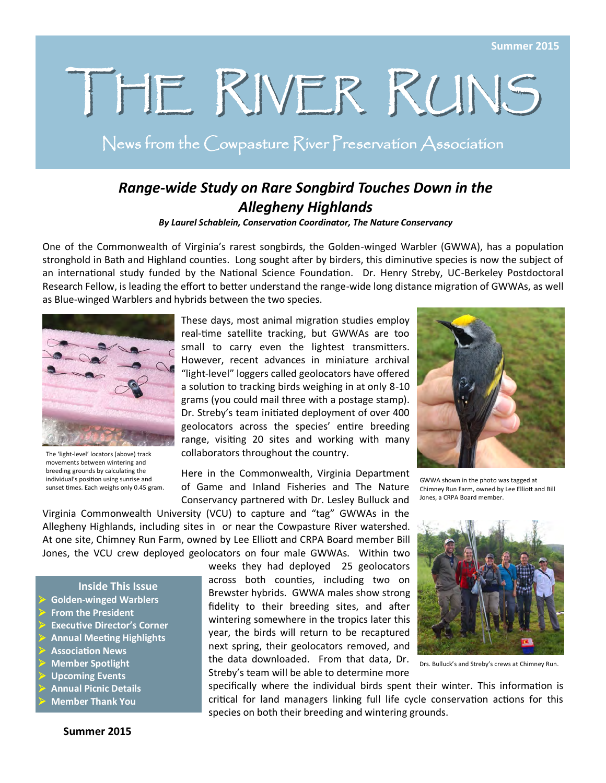# THE RIVER RUNS

News from the Cowpasture River Preservation Association

### *Range-wide Study on Rare Songbird Touches Down in the Allegheny Highlands*

*By Laurel Schablein, Conservation Coordinator, The Nature Conservancy*

One of the Commonwealth of Virginia's rarest songbirds, the Golden-winged Warbler (GWWA), has a population stronghold in Bath and Highland counties. Long sought after by birders, this diminutive species is now the subject of an international study funded by the National Science Foundation. Dr. Henry Streby, UC-Berkeley Postdoctoral Research Fellow, is leading the effort to better understand the range-wide long distance migration of GWWAs, as well as Blue-winged Warblers and hybrids between the two species.



The 'light-level' locators (above) track movements between wintering and breeding grounds by calculating the individual's position using sunrise and sunset times. Each weighs only 0.45 gram.

These days, most animal migration studies employ real-time satellite tracking, but GWWAs are too small to carry even the lightest transmitters. However, recent advances in miniature archival "light-level" loggers called geolocators have offered a solution to tracking birds weighing in at only 8-10 grams (you could mail three with a postage stamp). Dr. Streby's team initiated deployment of over 400 geolocators across the species' entire breeding range, visiting 20 sites and working with many collaborators throughout the country.

Here in the Commonwealth, Virginia Department of Game and Inland Fisheries and The Nature Conservancy partnered with Dr. Lesley Bulluck and



GWWA shown in the photo was tagged at Chimney Run Farm, owned by Lee Elliott and Bill Jones, a CRPA Board member.

Virginia Commonwealth University (VCU) to capture and "tag" GWWAs in the Allegheny Highlands, including sites in or near the Cowpasture River watershed. At one site, Chimney Run Farm, owned by Lee Elliott and CRPA Board member Bill Jones, the VCU crew deployed geolocators on four male GWWAs. Within two

**Inside This Issue**

- **Golden-winged Warblers**
- **From the President**
- **Executive Director's Corner**
- **Annual Meeting Highlights**
- **Association News**
- **Member Spotlight**
- **Upcoming Events**
- **Annual Picnic Details**
- **Member Thank You**

weeks they had deployed 25 geolocators across both counties, including two on Brewster hybrids. GWWA males show strong fidelity to their breeding sites, and after wintering somewhere in the tropics later this year, the birds will return to be recaptured next spring, their geolocators removed, and the data downloaded. From that data, Dr. Streby's team will be able to determine more



Drs. Bulluck's and Streby's crews at Chimney Run.

specifically where the individual birds spent their winter. This information is critical for land managers linking full life cycle conservation actions for this species on both their breeding and wintering grounds.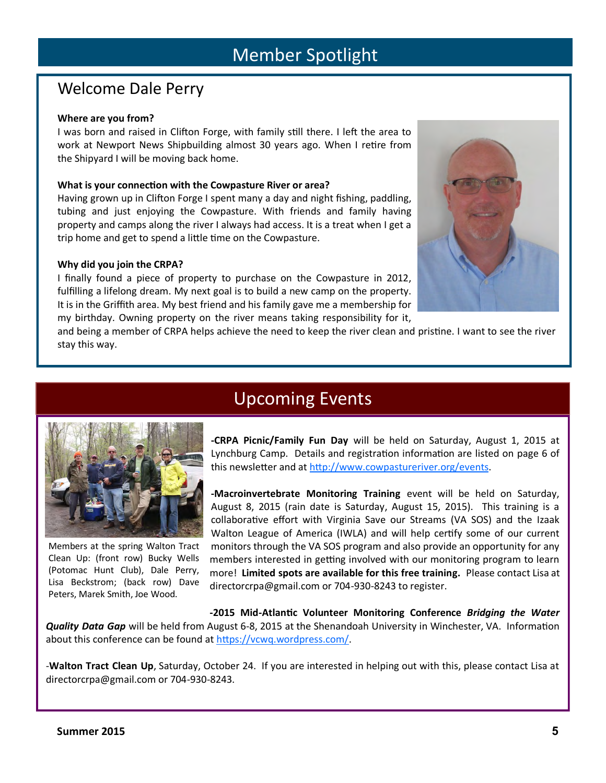### Welcome Dale Perry

### **Where are you from?**

I was born and raised in Clifton Forge, with family still there. I left the area to work at Newport News Shipbuilding almost 30 years ago. When I retire from the Shipyard I will be moving back home.

### **What is your connection with the Cowpasture River or area?**

Having grown up in Clifton Forge I spent many a day and night fishing, paddling, tubing and just enjoying the Cowpasture. With friends and family having property and camps along the river I always had access. It is a treat when I get a trip home and get to spend a little time on the Cowpasture.

### **Why did you join the CRPA?**

Members at the spring Walton Tract Clean Up: (front row) Bucky Wells (Potomac Hunt Club), Dale Perry, Lisa Beckstrom; (back row) Dave Peters, Marek Smith, Joe Wood.

I finally found a piece of property to purchase on the Cowpasture in 2012, fulfilling a lifelong dream. My next goal is to build a new camp on the property. It is in the Griffith area. My best friend and his family gave me a membership for my birthday. Owning property on the river means taking responsibility for it,



and being a member of CRPA helps achieve the need to keep the river clean and pristine. I want to see the river stay this way.





**-Macroinvertebrate Monitoring Training** event will be held on Saturday, August 8, 2015 (rain date is Saturday, August 15, 2015). This training is a collaborative effort with Virginia Save our Streams (VA SOS) and the Izaak Walton League of America (IWLA) and will help certify some of our current monitors through the VA SOS program and also provide an opportunity for any members interested in getting involved with our monitoring program to learn more! **Limited spots are available for this free training.** Please contact Lisa at directorcrpa@gmail.com or 704-930-8243 to register.

**-2015 Mid-Atlantic Volunteer Monitoring Conference** *Bridging the Water Quality Data Gap* will be held from August 6-8, 2015 at the Shenandoah University in Winchester, VA. Information about this conference can be found at [https://vcwq.wordpress.com/.](https://vcwq.wordpress.com/)

-**Walton Tract Clean Up**, Saturday, October 24. If you are interested in helping out with this, please contact Lisa at directorcrpa@gmail.com or 704-930-8243.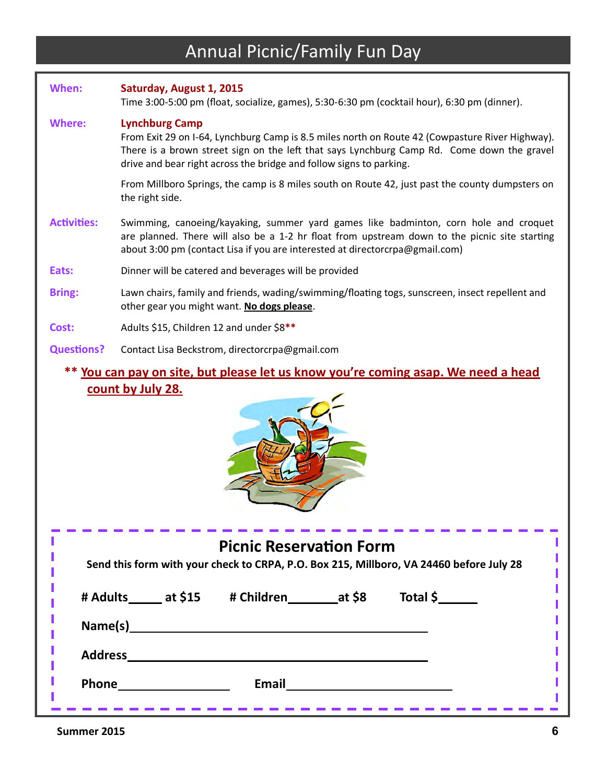## Annual Picnic/Family Fun Day

| When:                                                                             | Saturday, August 1, 2015<br>Time 3:00-5:00 pm (float, socialize, games), 5:30-6:30 pm (cocktail hour), 6:30 pm (dinner).                                                                                                                                                                      |  |  |  |
|-----------------------------------------------------------------------------------|-----------------------------------------------------------------------------------------------------------------------------------------------------------------------------------------------------------------------------------------------------------------------------------------------|--|--|--|
| <b>Where:</b>                                                                     | <b>Lynchburg Camp</b><br>From Exit 29 on I-64, Lynchburg Camp is 8.5 miles north on Route 42 (Cowpasture River Highway).<br>There is a brown street sign on the left that says Lynchburg Camp Rd. Come down the gravel<br>drive and bear right across the bridge and follow signs to parking. |  |  |  |
|                                                                                   | From Millboro Springs, the camp is 8 miles south on Route 42, just past the county dumpsters on<br>the right side.                                                                                                                                                                            |  |  |  |
| <b>Activities:</b>                                                                | Swimming, canoeing/kayaking, summer yard games like badminton, corn hole and croquet<br>are planned. There will also be a 1-2 hr float from upstream down to the picnic site starting<br>about 3:00 pm (contact Lisa if you are interested at directorcrpa@gmail.com)                         |  |  |  |
| Eats:                                                                             | Dinner will be catered and beverages will be provided                                                                                                                                                                                                                                         |  |  |  |
| <b>Bring:</b>                                                                     | Lawn chairs, family and friends, wading/swimming/floating togs, sunscreen, insect repellent and<br>other gear you might want. No dogs please.                                                                                                                                                 |  |  |  |
| Cost:                                                                             | Adults \$15, Children 12 and under \$8**                                                                                                                                                                                                                                                      |  |  |  |
| <b>Questions?</b>                                                                 | Contact Lisa Beckstrom, directorcrpa@gmail.com                                                                                                                                                                                                                                                |  |  |  |
| ** You can pay on site, but please let us know you're coming asap. We need a head |                                                                                                                                                                                                                                                                                               |  |  |  |

# **count by July 28.**



| <b>Picnic Reservation Form</b><br>Send this form with your check to CRPA, P.O. Box 215, Millboro, VA 24460 before July 28 |  |              |  |          |  |  |
|---------------------------------------------------------------------------------------------------------------------------|--|--------------|--|----------|--|--|
| # Adults _____ at \$15                                                                                                    |  |              |  | Total \$ |  |  |
| Name(s)                                                                                                                   |  |              |  |          |  |  |
| <b>Address</b>                                                                                                            |  |              |  |          |  |  |
| <b>Phone</b>                                                                                                              |  | <b>Email</b> |  |          |  |  |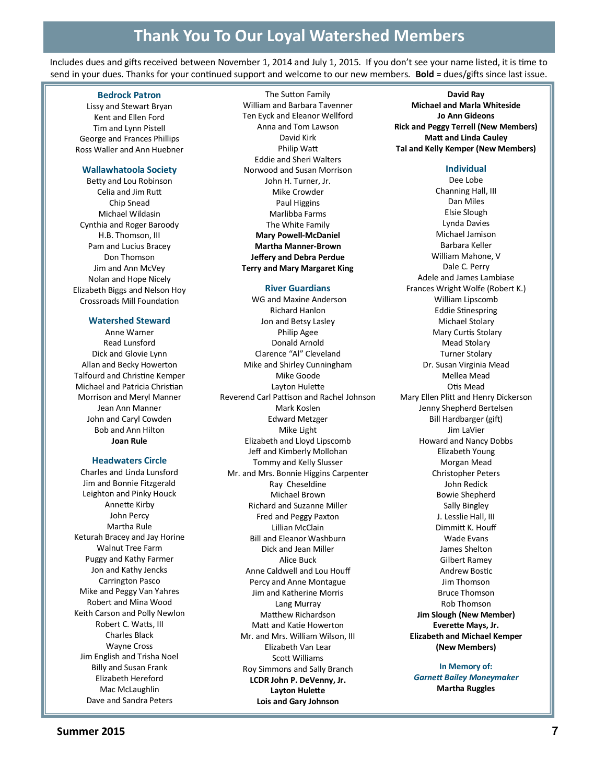Includes dues and gifts received between November 1, 2014 and July 1, 2015. If you don't see your name listed, it is time to send in your dues. Thanks for your continued support and welcome to our new members. **Bold** = dues/gifts since last issue.

#### **Bedrock Patron**

Lissy and Stewart Bryan Kent and Ellen Ford Tim and Lynn Pistell George and Frances Phillips Ross Waller and Ann Huebner

### **Wallawhatoola Society**

Betty and Lou Robinson Celia and Jim Rutt Chip Snead Michael Wildasin Cynthia and Roger Baroody H.B. Thomson, III Pam and Lucius Bracey Don Thomson Jim and Ann McVey Nolan and Hope Nicely Elizabeth Biggs and Nelson Hoy Crossroads Mill Foundation

### **Watershed Steward**

Anne Warner Read Lunsford Dick and Glovie Lynn Allan and Becky Howerton Talfourd and Christine Kemper Michael and Patricia Christian Morrison and Meryl Manner Jean Ann Manner John and Caryl Cowden Bob and Ann Hilton **Joan Rule**

### **Headwaters Circle**

Charles and Linda Lunsford Jim and Bonnie Fitzgerald Leighton and Pinky Houck Annette Kirby John Percy Martha Rule Keturah Bracey and Jay Horine Walnut Tree Farm Puggy and Kathy Farmer Jon and Kathy Jencks Carrington Pasco Mike and Peggy Van Yahres Robert and Mina Wood Keith Carson and Polly Newlon Robert C. Watts, III Charles Black Wayne Cross Jim English and Trisha Noel Billy and Susan Frank Elizabeth Hereford Mac McLaughlin Dave and Sandra Peters

The Sutton Family William and Barbara Tavenner Ten Eyck and Eleanor Wellford Anna and Tom Lawson David Kirk Philip Watt Eddie and Sheri Walters Norwood and Susan Morrison John H. Turner, Jr. Mike Crowder Paul Higgins Marlibba Farms The White Family **Mary Powell-McDaniel Martha Manner-Brown Jeffery and Debra Perdue Terry and Mary Margaret King**

#### **River Guardians**

WG and Maxine Anderson Richard Hanlon Jon and Betsy Lasley Philip Agee Donald Arnold Clarence "Al" Cleveland Mike and Shirley Cunningham Mike Goode Layton Hulette Reverend Carl Pattison and Rachel Johnson Mark Koslen Edward Metzger Mike Light Elizabeth and Lloyd Lipscomb Jeff and Kimberly Mollohan Tommy and Kelly Slusser Mr. and Mrs. Bonnie Higgins Carpenter Ray Cheseldine Michael Brown Richard and Suzanne Miller Fred and Peggy Paxton Lillian McClain Bill and Eleanor Washburn Dick and Jean Miller Alice Buck Anne Caldwell and Lou Houff Percy and Anne Montague Jim and Katherine Morris Lang Murray Matthew Richardson Matt and Katie Howerton Mr. and Mrs. William Wilson, III Elizabeth Van Lear Scott Williams Roy Simmons and Sally Branch **LCDR John P. DeVenny, Jr. Layton Hulette Lois and Gary Johnson**

**David Ray Michael and Marla Whiteside Jo Ann Gideons Rick and Peggy Terrell (New Members) Matt and Linda Cauley Tal and Kelly Kemper (New Members)**

### **Individual**

Dee Lobe Channing Hall, III Dan Miles Elsie Slough Lynda Davies Michael Jamison Barbara Keller William Mahone, V Dale C. Perry Adele and James Lambiase Frances Wright Wolfe (Robert K.) William Lipscomb Eddie Stinespring Michael Stolary Mary Curtis Stolary Mead Stolary Turner Stolary Dr. Susan Virginia Mead Mellea Mead Otis Mead Mary Ellen Plitt and Henry Dickerson Jenny Shepherd Bertelsen Bill Hardbarger (gift) Jim LaVier Howard and Nancy Dobbs Elizabeth Young Morgan Mead Christopher Peters John Redick Bowie Shepherd Sally Bingley J. Lesslie Hall, III Dimmitt K. Houff Wade Evans James Shelton Gilbert Ramey Andrew Bostic Jim Thomson Bruce Thomson Rob Thomson **Jim Slough (New Member) Everette Mays, Jr. Elizabeth and Michael Kemper (New Members)**

> **In Memory of:** *Garnett Bailey Moneymaker* **Martha Ruggles**